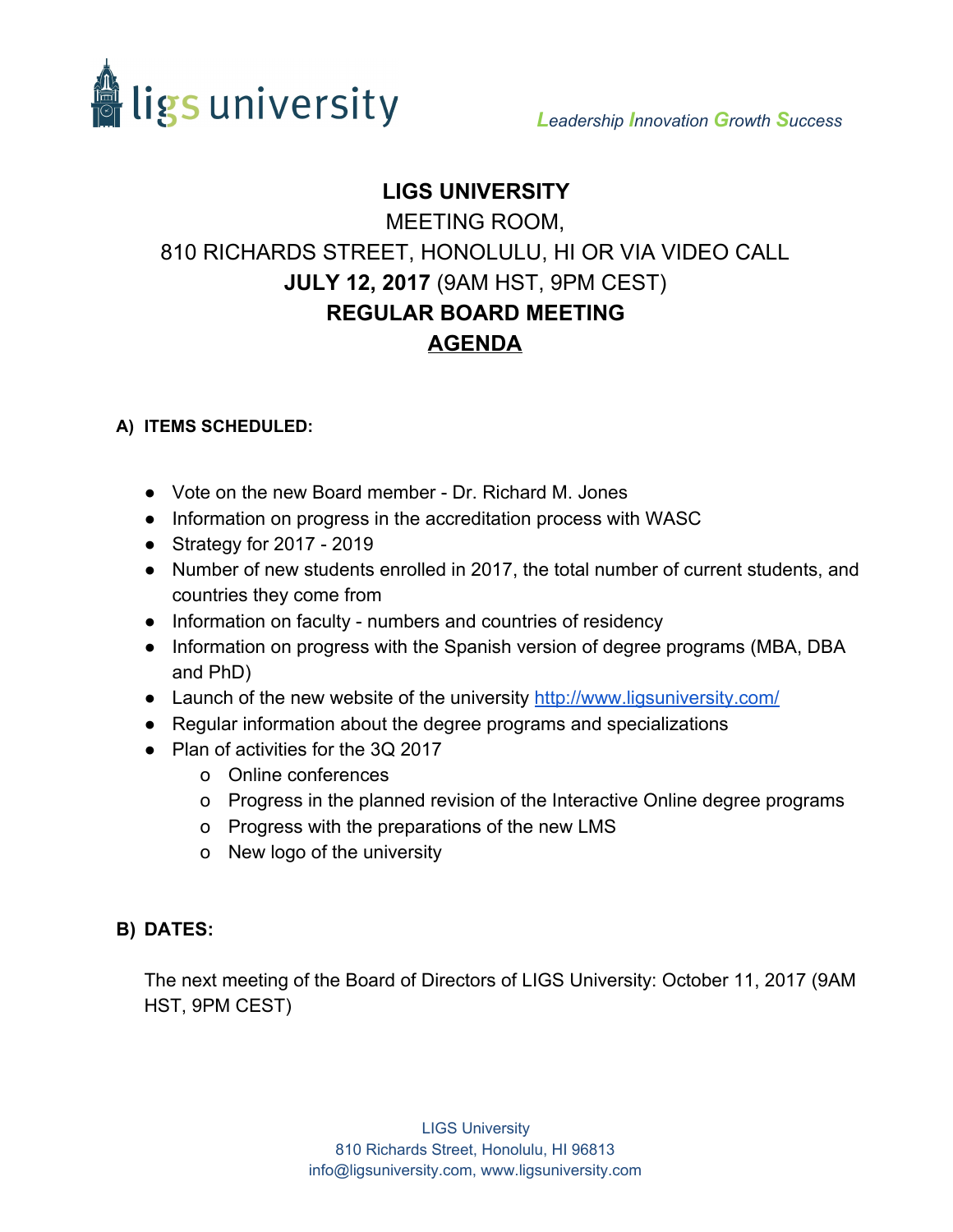

## **LIGS UNIVERSITY**

#### MEETING ROOM,

# 810 RICHARDS STREET, HONOLULU, HI OR VIA VIDEO CALL **JULY 12, 2017**(9AM HST, 9PM CEST) **REGULAR BOARD MEETING AGENDA**

### **A) ITEMS SCHEDULED:**

- Vote on the new Board member Dr. Richard M. Jones
- Information on progress in the accreditation process with WASC
- Strategy for 2017 2019
- Number of new students enrolled in 2017, the total number of current students, and countries they come from
- Information on faculty numbers and countries of residency
- Information on progress with the Spanish version of degree programs (MBA, DBA and PhD)
- Launch of the new website of the university<http://www.ligsuniversity.com/>
- Regular information about the degree programs and specializations
- Plan of activities for the 3Q 2017
	- o Online conferences
	- o Progress in the planned revision of the Interactive Online degree programs
	- o Progress with the preparations of the new LMS
	- o New logo of the university

### **B) DATES:**

The next meeting of the Board of Directors of LIGS University: October 11, 2017 (9AM HST, 9PM CEST)